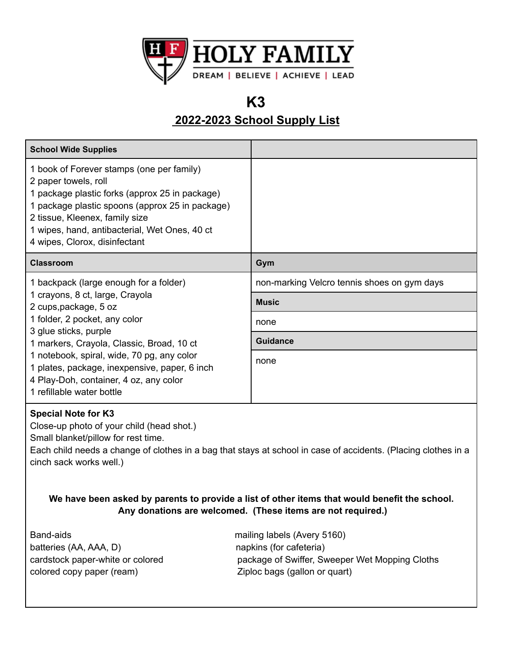

## **K3**

### **2022-2023 School Supply List**

| <b>School Wide Supplies</b>                                                                                                                                                                                                                                                                                                                                                     |                                                     |
|---------------------------------------------------------------------------------------------------------------------------------------------------------------------------------------------------------------------------------------------------------------------------------------------------------------------------------------------------------------------------------|-----------------------------------------------------|
| 1 book of Forever stamps (one per family)<br>2 paper towels, roll<br>1 package plastic forks (approx 25 in package)<br>1 package plastic spoons (approx 25 in package)<br>2 tissue, Kleenex, family size<br>1 wipes, hand, antibacterial, Wet Ones, 40 ct<br>4 wipes, Clorox, disinfectant                                                                                      |                                                     |
| <b>Classroom</b>                                                                                                                                                                                                                                                                                                                                                                | Gym                                                 |
| 1 backpack (large enough for a folder)<br>1 crayons, 8 ct, large, Crayola<br>2 cups, package, 5 oz<br>1 folder, 2 pocket, any color<br>3 glue sticks, purple<br>1 markers, Crayola, Classic, Broad, 10 ct<br>1 notebook, spiral, wide, 70 pg, any color<br>1 plates, package, inexpensive, paper, 6 inch<br>4 Play-Doh, container, 4 oz, any color<br>1 refillable water bottle | non-marking Velcro tennis shoes on gym days         |
|                                                                                                                                                                                                                                                                                                                                                                                 | <b>Music</b>                                        |
|                                                                                                                                                                                                                                                                                                                                                                                 | none                                                |
|                                                                                                                                                                                                                                                                                                                                                                                 | <b>Guidance</b>                                     |
|                                                                                                                                                                                                                                                                                                                                                                                 | none                                                |
| <b>Special Note for K3</b><br>Close-up photo of your child (head shot.)<br>Small blanket/pillow for rest time.<br>Each child needs a change of clothes in a bag that stays at school in case of accidents. (Placing clothes in a<br>cinch sack works well.)                                                                                                                     |                                                     |
| We have been asked by parents to provide a list of other items that would benefit the school.<br>Any donations are welcomed. (These items are not required.)                                                                                                                                                                                                                    |                                                     |
| Dond oide                                                                                                                                                                                                                                                                                                                                                                       | mailing $I$ gholo $\Lambda$ yon $\overline{5}$ 160) |

Band-aids **mailing labels (Avery 5160)** mailing labels (Avery 5160) batteries (AA, AAA, D) napkins (for cafeteria) colored copy paper (ream) Ziploc bags (gallon or quart)

cardstock paper-white or colored package of Swiffer, Sweeper Wet Mopping Cloths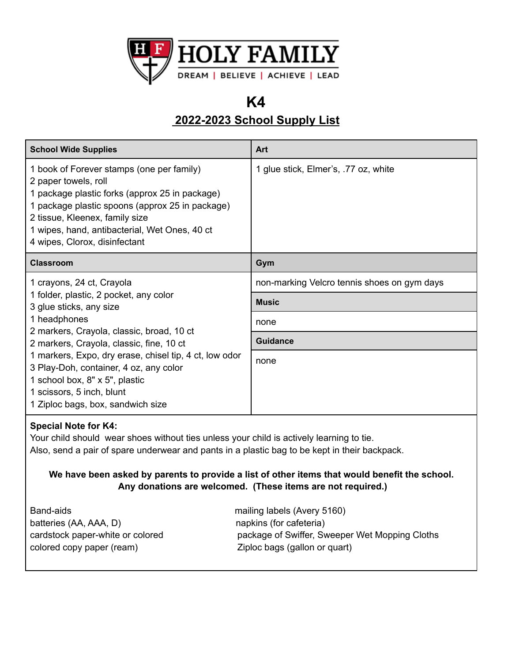

# **K4**

## **2022-2023 School Supply List**

| <b>School Wide Supplies</b>                                                                                                                                                                                                                                                                                                                                                                                     | Art                                         |
|-----------------------------------------------------------------------------------------------------------------------------------------------------------------------------------------------------------------------------------------------------------------------------------------------------------------------------------------------------------------------------------------------------------------|---------------------------------------------|
| 1 book of Forever stamps (one per family)<br>2 paper towels, roll<br>1 package plastic forks (approx 25 in package)<br>1 package plastic spoons (approx 25 in package)<br>2 tissue, Kleenex, family size<br>1 wipes, hand, antibacterial, Wet Ones, 40 ct<br>4 wipes, Clorox, disinfectant                                                                                                                      | 1 glue stick, Elmer's, .77 oz, white        |
| <b>Classroom</b>                                                                                                                                                                                                                                                                                                                                                                                                | Gym                                         |
| 1 crayons, 24 ct, Crayola<br>1 folder, plastic, 2 pocket, any color<br>3 glue sticks, any size<br>1 headphones<br>2 markers, Crayola, classic, broad, 10 ct<br>2 markers, Crayola, classic, fine, 10 ct<br>1 markers, Expo, dry erase, chisel tip, 4 ct, low odor<br>3 Play-Doh, container, 4 oz, any color<br>1 school box, 8" x 5", plastic<br>1 scissors, 5 inch, blunt<br>1 Ziploc bags, box, sandwich size | non-marking Velcro tennis shoes on gym days |
|                                                                                                                                                                                                                                                                                                                                                                                                                 | <b>Music</b>                                |
|                                                                                                                                                                                                                                                                                                                                                                                                                 | none                                        |
|                                                                                                                                                                                                                                                                                                                                                                                                                 | Guidance                                    |
|                                                                                                                                                                                                                                                                                                                                                                                                                 | none                                        |

### **Special Note for K4:**

Your child should wear shoes without ties unless your child is actively learning to tie. Also, send a pair of spare underwear and pants in a plastic bag to be kept in their backpack.

**We have been asked by parents to provide a list of other items that would benefit the school. Any donations are welcomed. (These items are not required.)**

Band-aids **mailing labels** (Avery 5160) batteries (AA, AAA, D) napkins (for cafeteria) colored copy paper (ream)  $Ziploc$  bags (gallon or quart)

cardstock paper-white or colored package of Swiffer, Sweeper Wet Mopping Cloths